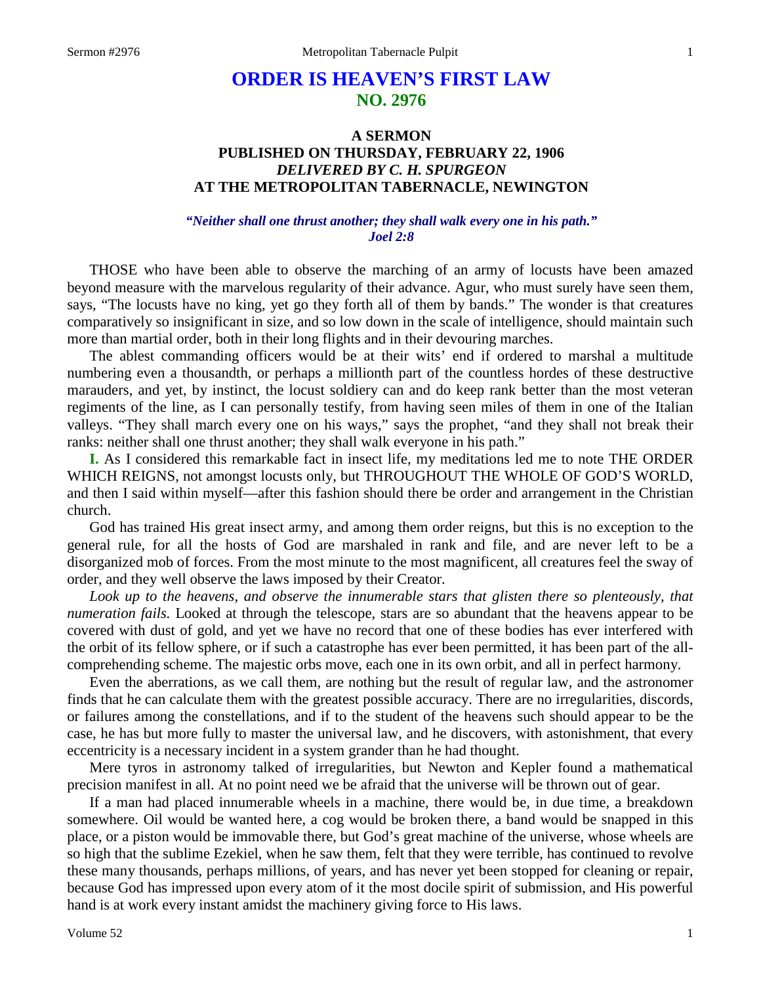# **ORDER IS HEAVEN'S FIRST LAW NO. 2976**

## **A SERMON PUBLISHED ON THURSDAY, FEBRUARY 22, 1906** *DELIVERED BY C. H. SPURGEON* **AT THE METROPOLITAN TABERNACLE, NEWINGTON**

### *"Neither shall one thrust another; they shall walk every one in his path." Joel 2:8*

THOSE who have been able to observe the marching of an army of locusts have been amazed beyond measure with the marvelous regularity of their advance. Agur, who must surely have seen them, says, "The locusts have no king, yet go they forth all of them by bands." The wonder is that creatures comparatively so insignificant in size, and so low down in the scale of intelligence, should maintain such more than martial order, both in their long flights and in their devouring marches.

The ablest commanding officers would be at their wits' end if ordered to marshal a multitude numbering even a thousandth, or perhaps a millionth part of the countless hordes of these destructive marauders, and yet, by instinct, the locust soldiery can and do keep rank better than the most veteran regiments of the line, as I can personally testify, from having seen miles of them in one of the Italian valleys. "They shall march every one on his ways," says the prophet, "and they shall not break their ranks: neither shall one thrust another; they shall walk everyone in his path."

**I.** As I considered this remarkable fact in insect life, my meditations led me to note THE ORDER WHICH REIGNS, not amongst locusts only, but THROUGHOUT THE WHOLE OF GOD'S WORLD, and then I said within myself—after this fashion should there be order and arrangement in the Christian church.

God has trained His great insect army, and among them order reigns, but this is no exception to the general rule, for all the hosts of God are marshaled in rank and file, and are never left to be a disorganized mob of forces. From the most minute to the most magnificent, all creatures feel the sway of order, and they well observe the laws imposed by their Creator.

*Look up to the heavens, and observe the innumerable stars that glisten there so plenteously, that numeration fails.* Looked at through the telescope, stars are so abundant that the heavens appear to be covered with dust of gold, and yet we have no record that one of these bodies has ever interfered with the orbit of its fellow sphere, or if such a catastrophe has ever been permitted, it has been part of the allcomprehending scheme. The majestic orbs move, each one in its own orbit, and all in perfect harmony.

Even the aberrations, as we call them, are nothing but the result of regular law, and the astronomer finds that he can calculate them with the greatest possible accuracy. There are no irregularities, discords, or failures among the constellations, and if to the student of the heavens such should appear to be the case, he has but more fully to master the universal law, and he discovers, with astonishment, that every eccentricity is a necessary incident in a system grander than he had thought.

Mere tyros in astronomy talked of irregularities, but Newton and Kepler found a mathematical precision manifest in all. At no point need we be afraid that the universe will be thrown out of gear.

If a man had placed innumerable wheels in a machine, there would be, in due time, a breakdown somewhere. Oil would be wanted here, a cog would be broken there, a band would be snapped in this place, or a piston would be immovable there, but God's great machine of the universe, whose wheels are so high that the sublime Ezekiel, when he saw them, felt that they were terrible, has continued to revolve these many thousands, perhaps millions, of years, and has never yet been stopped for cleaning or repair, because God has impressed upon every atom of it the most docile spirit of submission, and His powerful hand is at work every instant amidst the machinery giving force to His laws.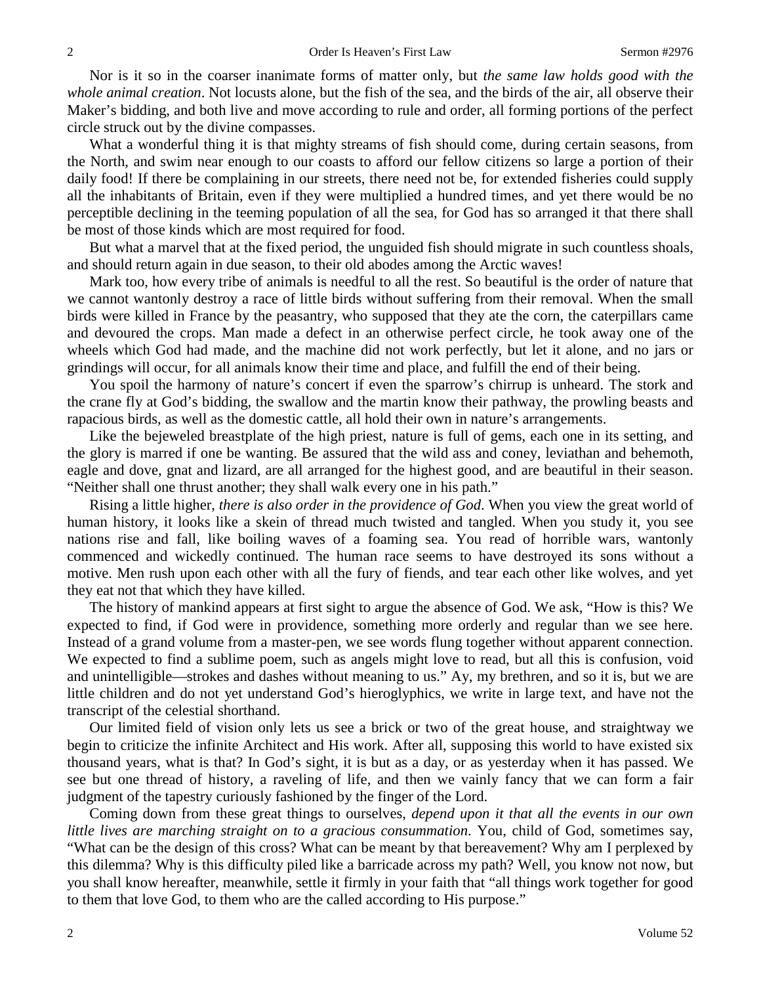Nor is it so in the coarser inanimate forms of matter only, but *the same law holds good with the whole animal creation*. Not locusts alone, but the fish of the sea, and the birds of the air, all observe their Maker's bidding, and both live and move according to rule and order, all forming portions of the perfect circle struck out by the divine compasses.

What a wonderful thing it is that mighty streams of fish should come, during certain seasons, from the North, and swim near enough to our coasts to afford our fellow citizens so large a portion of their daily food! If there be complaining in our streets, there need not be, for extended fisheries could supply all the inhabitants of Britain, even if they were multiplied a hundred times, and yet there would be no perceptible declining in the teeming population of all the sea, for God has so arranged it that there shall be most of those kinds which are most required for food.

But what a marvel that at the fixed period, the unguided fish should migrate in such countless shoals, and should return again in due season, to their old abodes among the Arctic waves!

Mark too, how every tribe of animals is needful to all the rest. So beautiful is the order of nature that we cannot wantonly destroy a race of little birds without suffering from their removal. When the small birds were killed in France by the peasantry, who supposed that they ate the corn, the caterpillars came and devoured the crops. Man made a defect in an otherwise perfect circle, he took away one of the wheels which God had made, and the machine did not work perfectly, but let it alone, and no jars or grindings will occur, for all animals know their time and place, and fulfill the end of their being.

You spoil the harmony of nature's concert if even the sparrow's chirrup is unheard. The stork and the crane fly at God's bidding, the swallow and the martin know their pathway, the prowling beasts and rapacious birds, as well as the domestic cattle, all hold their own in nature's arrangements.

Like the bejeweled breastplate of the high priest, nature is full of gems, each one in its setting, and the glory is marred if one be wanting. Be assured that the wild ass and coney, leviathan and behemoth, eagle and dove, gnat and lizard, are all arranged for the highest good, and are beautiful in their season. "Neither shall one thrust another; they shall walk every one in his path."

Rising a little higher, *there is also order in the providence of God*. When you view the great world of human history, it looks like a skein of thread much twisted and tangled. When you study it, you see nations rise and fall, like boiling waves of a foaming sea. You read of horrible wars, wantonly commenced and wickedly continued. The human race seems to have destroyed its sons without a motive. Men rush upon each other with all the fury of fiends, and tear each other like wolves, and yet they eat not that which they have killed.

The history of mankind appears at first sight to argue the absence of God. We ask, "How is this? We expected to find, if God were in providence, something more orderly and regular than we see here. Instead of a grand volume from a master-pen, we see words flung together without apparent connection. We expected to find a sublime poem, such as angels might love to read, but all this is confusion, void and unintelligible—strokes and dashes without meaning to us." Ay, my brethren, and so it is, but we are little children and do not yet understand God's hieroglyphics, we write in large text, and have not the transcript of the celestial shorthand.

Our limited field of vision only lets us see a brick or two of the great house, and straightway we begin to criticize the infinite Architect and His work. After all, supposing this world to have existed six thousand years, what is that? In God's sight, it is but as a day, or as yesterday when it has passed. We see but one thread of history, a raveling of life, and then we vainly fancy that we can form a fair judgment of the tapestry curiously fashioned by the finger of the Lord.

Coming down from these great things to ourselves, *depend upon it that all the events in our own little lives are marching straight on to a gracious consummation*. You, child of God, sometimes say, "What can be the design of this cross? What can be meant by that bereavement? Why am I perplexed by this dilemma? Why is this difficulty piled like a barricade across my path? Well, you know not now, but you shall know hereafter, meanwhile, settle it firmly in your faith that "all things work together for good to them that love God, to them who are the called according to His purpose."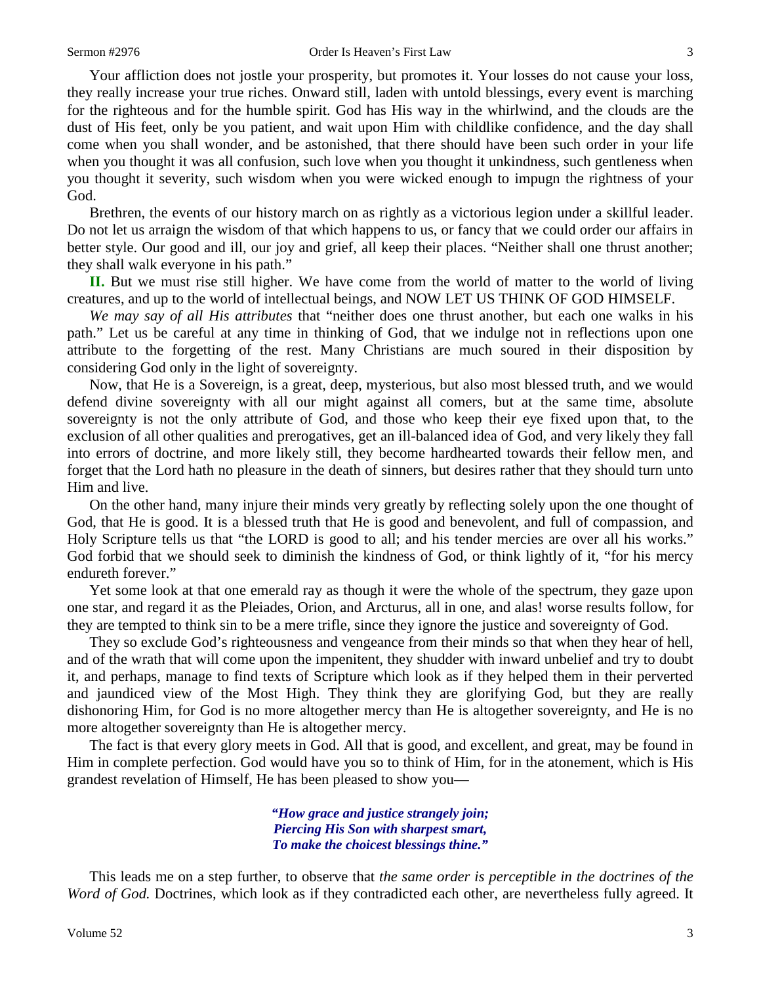God.

Your affliction does not jostle your prosperity, but promotes it. Your losses do not cause your loss, they really increase your true riches. Onward still, laden with untold blessings, every event is marching for the righteous and for the humble spirit. God has His way in the whirlwind, and the clouds are the dust of His feet, only be you patient, and wait upon Him with childlike confidence, and the day shall come when you shall wonder, and be astonished, that there should have been such order in your life when you thought it was all confusion, such love when you thought it unkindness, such gentleness when you thought it severity, such wisdom when you were wicked enough to impugn the rightness of your

Brethren, the events of our history march on as rightly as a victorious legion under a skillful leader. Do not let us arraign the wisdom of that which happens to us, or fancy that we could order our affairs in better style. Our good and ill, our joy and grief, all keep their places. "Neither shall one thrust another; they shall walk everyone in his path."

**II.** But we must rise still higher. We have come from the world of matter to the world of living creatures, and up to the world of intellectual beings, and NOW LET US THINK OF GOD HIMSELF.

*We may say of all His attributes* that "neither does one thrust another, but each one walks in his path." Let us be careful at any time in thinking of God, that we indulge not in reflections upon one attribute to the forgetting of the rest. Many Christians are much soured in their disposition by considering God only in the light of sovereignty.

Now, that He is a Sovereign, is a great, deep, mysterious, but also most blessed truth, and we would defend divine sovereignty with all our might against all comers, but at the same time, absolute sovereignty is not the only attribute of God, and those who keep their eye fixed upon that, to the exclusion of all other qualities and prerogatives, get an ill-balanced idea of God, and very likely they fall into errors of doctrine, and more likely still, they become hardhearted towards their fellow men, and forget that the Lord hath no pleasure in the death of sinners, but desires rather that they should turn unto Him and live.

On the other hand, many injure their minds very greatly by reflecting solely upon the one thought of God, that He is good. It is a blessed truth that He is good and benevolent, and full of compassion, and Holy Scripture tells us that "the LORD is good to all; and his tender mercies are over all his works." God forbid that we should seek to diminish the kindness of God, or think lightly of it, "for his mercy endureth forever."

Yet some look at that one emerald ray as though it were the whole of the spectrum, they gaze upon one star, and regard it as the Pleiades, Orion, and Arcturus, all in one, and alas! worse results follow, for they are tempted to think sin to be a mere trifle, since they ignore the justice and sovereignty of God.

They so exclude God's righteousness and vengeance from their minds so that when they hear of hell, and of the wrath that will come upon the impenitent, they shudder with inward unbelief and try to doubt it, and perhaps, manage to find texts of Scripture which look as if they helped them in their perverted and jaundiced view of the Most High. They think they are glorifying God, but they are really dishonoring Him, for God is no more altogether mercy than He is altogether sovereignty, and He is no more altogether sovereignty than He is altogether mercy.

The fact is that every glory meets in God. All that is good, and excellent, and great, may be found in Him in complete perfection. God would have you so to think of Him, for in the atonement, which is His grandest revelation of Himself, He has been pleased to show you—

> *"How grace and justice strangely join; Piercing His Son with sharpest smart, To make the choicest blessings thine."*

This leads me on a step further, to observe that *the same order is perceptible in the doctrines of the Word of God.* Doctrines, which look as if they contradicted each other, are nevertheless fully agreed. It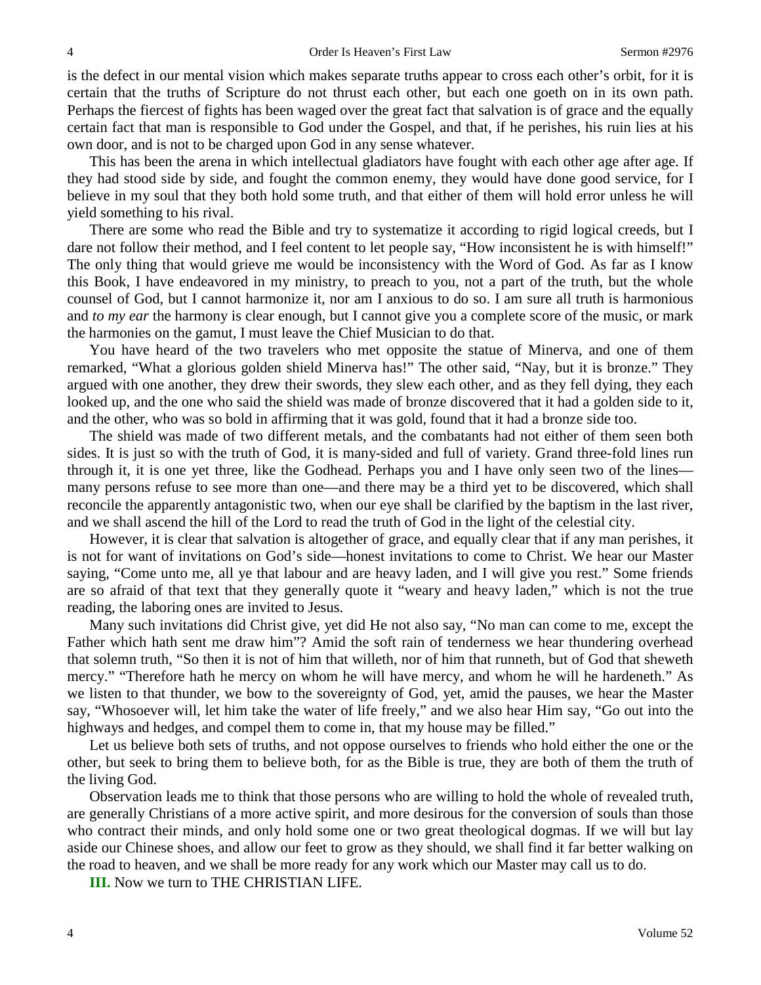is the defect in our mental vision which makes separate truths appear to cross each other's orbit, for it is certain that the truths of Scripture do not thrust each other, but each one goeth on in its own path. Perhaps the fiercest of fights has been waged over the great fact that salvation is of grace and the equally certain fact that man is responsible to God under the Gospel, and that, if he perishes, his ruin lies at his own door, and is not to be charged upon God in any sense whatever.

This has been the arena in which intellectual gladiators have fought with each other age after age. If they had stood side by side, and fought the common enemy, they would have done good service, for I believe in my soul that they both hold some truth, and that either of them will hold error unless he will yield something to his rival.

There are some who read the Bible and try to systematize it according to rigid logical creeds, but I dare not follow their method, and I feel content to let people say, "How inconsistent he is with himself!" The only thing that would grieve me would be inconsistency with the Word of God. As far as I know this Book, I have endeavored in my ministry, to preach to you, not a part of the truth, but the whole counsel of God, but I cannot harmonize it, nor am I anxious to do so. I am sure all truth is harmonious and *to my ear* the harmony is clear enough, but I cannot give you a complete score of the music, or mark the harmonies on the gamut, I must leave the Chief Musician to do that.

You have heard of the two travelers who met opposite the statue of Minerva, and one of them remarked, "What a glorious golden shield Minerva has!" The other said, "Nay, but it is bronze." They argued with one another, they drew their swords, they slew each other, and as they fell dying, they each looked up, and the one who said the shield was made of bronze discovered that it had a golden side to it, and the other, who was so bold in affirming that it was gold, found that it had a bronze side too.

The shield was made of two different metals, and the combatants had not either of them seen both sides. It is just so with the truth of God, it is many-sided and full of variety. Grand three-fold lines run through it, it is one yet three, like the Godhead. Perhaps you and I have only seen two of the lines many persons refuse to see more than one—and there may be a third yet to be discovered, which shall reconcile the apparently antagonistic two, when our eye shall be clarified by the baptism in the last river, and we shall ascend the hill of the Lord to read the truth of God in the light of the celestial city.

However, it is clear that salvation is altogether of grace, and equally clear that if any man perishes, it is not for want of invitations on God's side—honest invitations to come to Christ. We hear our Master saying, "Come unto me, all ye that labour and are heavy laden, and I will give you rest." Some friends are so afraid of that text that they generally quote it "weary and heavy laden," which is not the true reading, the laboring ones are invited to Jesus.

Many such invitations did Christ give, yet did He not also say, "No man can come to me, except the Father which hath sent me draw him"? Amid the soft rain of tenderness we hear thundering overhead that solemn truth, "So then it is not of him that willeth, nor of him that runneth, but of God that sheweth mercy." "Therefore hath he mercy on whom he will have mercy, and whom he will he hardeneth." As we listen to that thunder, we bow to the sovereignty of God, yet, amid the pauses, we hear the Master say, "Whosoever will, let him take the water of life freely," and we also hear Him say, "Go out into the highways and hedges, and compel them to come in, that my house may be filled."

Let us believe both sets of truths, and not oppose ourselves to friends who hold either the one or the other, but seek to bring them to believe both, for as the Bible is true, they are both of them the truth of the living God.

Observation leads me to think that those persons who are willing to hold the whole of revealed truth, are generally Christians of a more active spirit, and more desirous for the conversion of souls than those who contract their minds, and only hold some one or two great theological dogmas. If we will but lay aside our Chinese shoes, and allow our feet to grow as they should, we shall find it far better walking on the road to heaven, and we shall be more ready for any work which our Master may call us to do.

**III.** Now we turn to THE CHRISTIAN LIFE.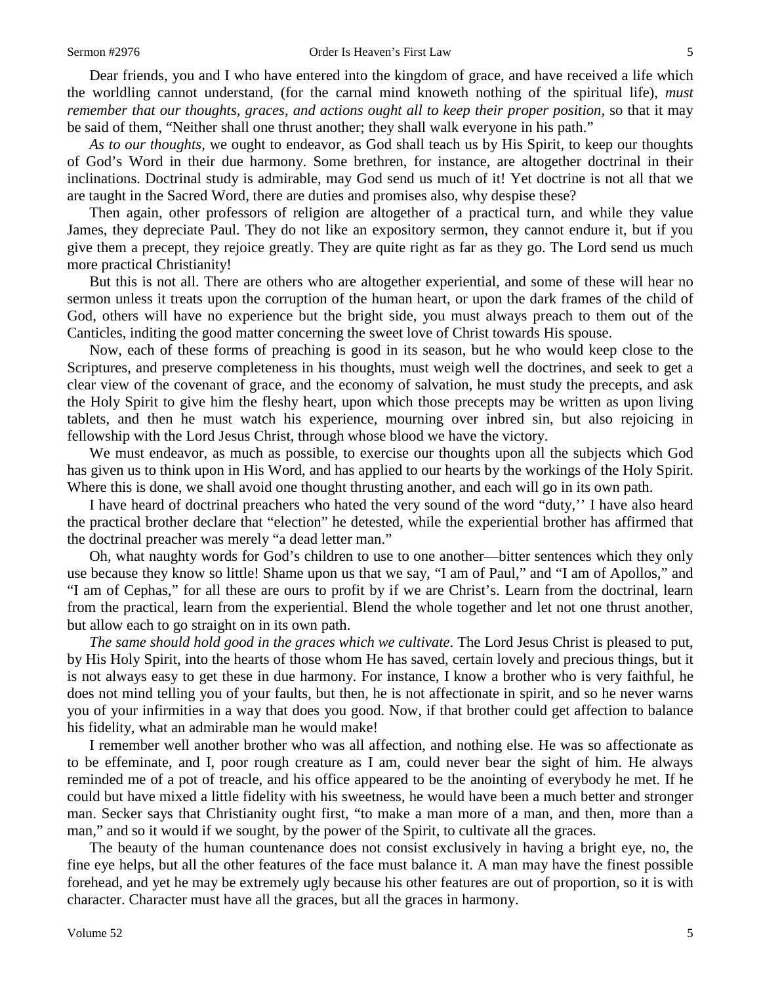Dear friends, you and I who have entered into the kingdom of grace, and have received a life which the worldling cannot understand, (for the carnal mind knoweth nothing of the spiritual life), *must remember that our thoughts, graces, and actions ought all to keep their proper position,* so that it may be said of them, "Neither shall one thrust another; they shall walk everyone in his path."

*As to our thoughts,* we ought to endeavor, as God shall teach us by His Spirit, to keep our thoughts of God's Word in their due harmony. Some brethren, for instance, are altogether doctrinal in their inclinations. Doctrinal study is admirable, may God send us much of it! Yet doctrine is not all that we are taught in the Sacred Word, there are duties and promises also, why despise these?

Then again, other professors of religion are altogether of a practical turn, and while they value James, they depreciate Paul. They do not like an expository sermon, they cannot endure it, but if you give them a precept, they rejoice greatly. They are quite right as far as they go. The Lord send us much more practical Christianity!

But this is not all. There are others who are altogether experiential, and some of these will hear no sermon unless it treats upon the corruption of the human heart, or upon the dark frames of the child of God, others will have no experience but the bright side, you must always preach to them out of the Canticles, inditing the good matter concerning the sweet love of Christ towards His spouse.

Now, each of these forms of preaching is good in its season, but he who would keep close to the Scriptures, and preserve completeness in his thoughts, must weigh well the doctrines, and seek to get a clear view of the covenant of grace, and the economy of salvation, he must study the precepts, and ask the Holy Spirit to give him the fleshy heart, upon which those precepts may be written as upon living tablets, and then he must watch his experience, mourning over inbred sin, but also rejoicing in fellowship with the Lord Jesus Christ, through whose blood we have the victory.

We must endeavor, as much as possible, to exercise our thoughts upon all the subjects which God has given us to think upon in His Word, and has applied to our hearts by the workings of the Holy Spirit. Where this is done, we shall avoid one thought thrusting another, and each will go in its own path.

I have heard of doctrinal preachers who hated the very sound of the word "duty,'' I have also heard the practical brother declare that "election" he detested, while the experiential brother has affirmed that the doctrinal preacher was merely "a dead letter man."

Oh, what naughty words for God's children to use to one another—bitter sentences which they only use because they know so little! Shame upon us that we say, "I am of Paul," and "I am of Apollos," and "I am of Cephas," for all these are ours to profit by if we are Christ's. Learn from the doctrinal, learn from the practical, learn from the experiential. Blend the whole together and let not one thrust another, but allow each to go straight on in its own path.

*The same should hold good in the graces which we cultivate*. The Lord Jesus Christ is pleased to put, by His Holy Spirit, into the hearts of those whom He has saved, certain lovely and precious things, but it is not always easy to get these in due harmony. For instance, I know a brother who is very faithful, he does not mind telling you of your faults, but then, he is not affectionate in spirit, and so he never warns you of your infirmities in a way that does you good. Now, if that brother could get affection to balance his fidelity, what an admirable man he would make!

I remember well another brother who was all affection, and nothing else. He was so affectionate as to be effeminate, and I, poor rough creature as I am, could never bear the sight of him. He always reminded me of a pot of treacle, and his office appeared to be the anointing of everybody he met. If he could but have mixed a little fidelity with his sweetness, he would have been a much better and stronger man. Secker says that Christianity ought first, "to make a man more of a man, and then, more than a man," and so it would if we sought, by the power of the Spirit, to cultivate all the graces.

The beauty of the human countenance does not consist exclusively in having a bright eye, no, the fine eye helps, but all the other features of the face must balance it. A man may have the finest possible forehead, and yet he may be extremely ugly because his other features are out of proportion, so it is with character. Character must have all the graces, but all the graces in harmony.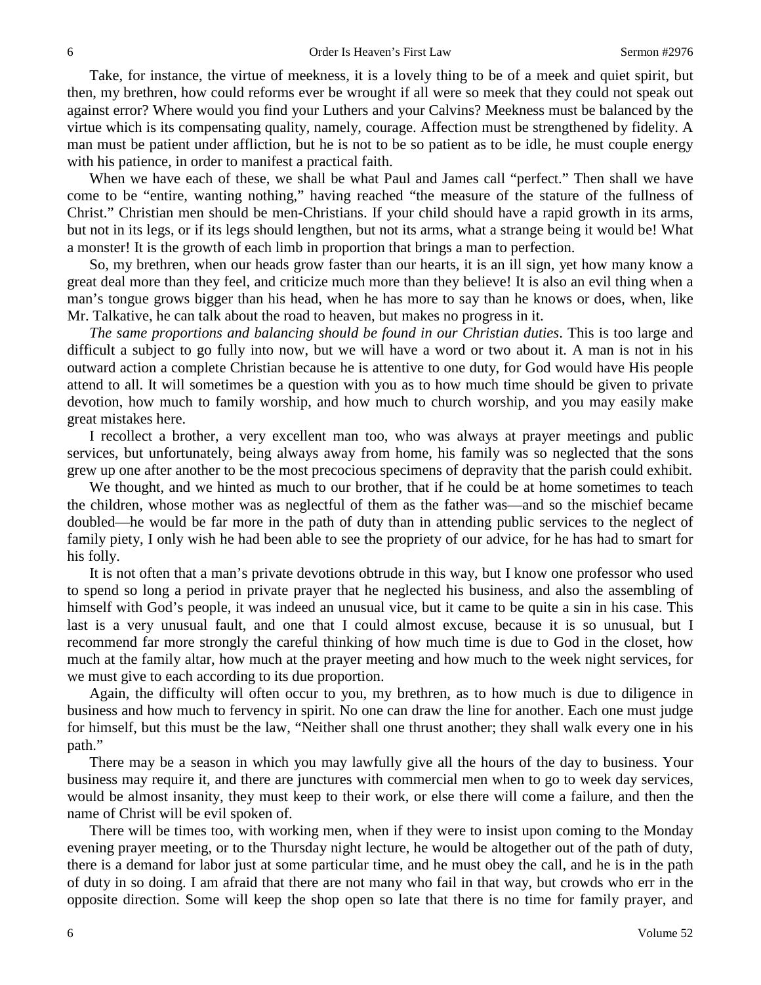Take, for instance, the virtue of meekness, it is a lovely thing to be of a meek and quiet spirit, but then, my brethren, how could reforms ever be wrought if all were so meek that they could not speak out against error? Where would you find your Luthers and your Calvins? Meekness must be balanced by the virtue which is its compensating quality, namely, courage. Affection must be strengthened by fidelity. A man must be patient under affliction, but he is not to be so patient as to be idle, he must couple energy with his patience, in order to manifest a practical faith.

When we have each of these, we shall be what Paul and James call "perfect." Then shall we have come to be "entire, wanting nothing," having reached "the measure of the stature of the fullness of Christ." Christian men should be men-Christians. If your child should have a rapid growth in its arms, but not in its legs, or if its legs should lengthen, but not its arms, what a strange being it would be! What a monster! It is the growth of each limb in proportion that brings a man to perfection.

So, my brethren, when our heads grow faster than our hearts, it is an ill sign, yet how many know a great deal more than they feel, and criticize much more than they believe! It is also an evil thing when a man's tongue grows bigger than his head, when he has more to say than he knows or does, when, like Mr. Talkative, he can talk about the road to heaven, but makes no progress in it.

*The same proportions and balancing should be found in our Christian duties*. This is too large and difficult a subject to go fully into now, but we will have a word or two about it. A man is not in his outward action a complete Christian because he is attentive to one duty, for God would have His people attend to all. It will sometimes be a question with you as to how much time should be given to private devotion, how much to family worship, and how much to church worship, and you may easily make great mistakes here.

I recollect a brother, a very excellent man too, who was always at prayer meetings and public services, but unfortunately, being always away from home, his family was so neglected that the sons grew up one after another to be the most precocious specimens of depravity that the parish could exhibit.

We thought, and we hinted as much to our brother, that if he could be at home sometimes to teach the children, whose mother was as neglectful of them as the father was—and so the mischief became doubled—he would be far more in the path of duty than in attending public services to the neglect of family piety, I only wish he had been able to see the propriety of our advice, for he has had to smart for his folly.

It is not often that a man's private devotions obtrude in this way, but I know one professor who used to spend so long a period in private prayer that he neglected his business, and also the assembling of himself with God's people, it was indeed an unusual vice, but it came to be quite a sin in his case. This last is a very unusual fault, and one that I could almost excuse, because it is so unusual, but I recommend far more strongly the careful thinking of how much time is due to God in the closet, how much at the family altar, how much at the prayer meeting and how much to the week night services, for we must give to each according to its due proportion.

Again, the difficulty will often occur to you, my brethren, as to how much is due to diligence in business and how much to fervency in spirit. No one can draw the line for another. Each one must judge for himself, but this must be the law, "Neither shall one thrust another; they shall walk every one in his path."

There may be a season in which you may lawfully give all the hours of the day to business. Your business may require it, and there are junctures with commercial men when to go to week day services, would be almost insanity, they must keep to their work, or else there will come a failure, and then the name of Christ will be evil spoken of.

There will be times too, with working men, when if they were to insist upon coming to the Monday evening prayer meeting, or to the Thursday night lecture, he would be altogether out of the path of duty, there is a demand for labor just at some particular time, and he must obey the call, and he is in the path of duty in so doing. I am afraid that there are not many who fail in that way, but crowds who err in the opposite direction. Some will keep the shop open so late that there is no time for family prayer, and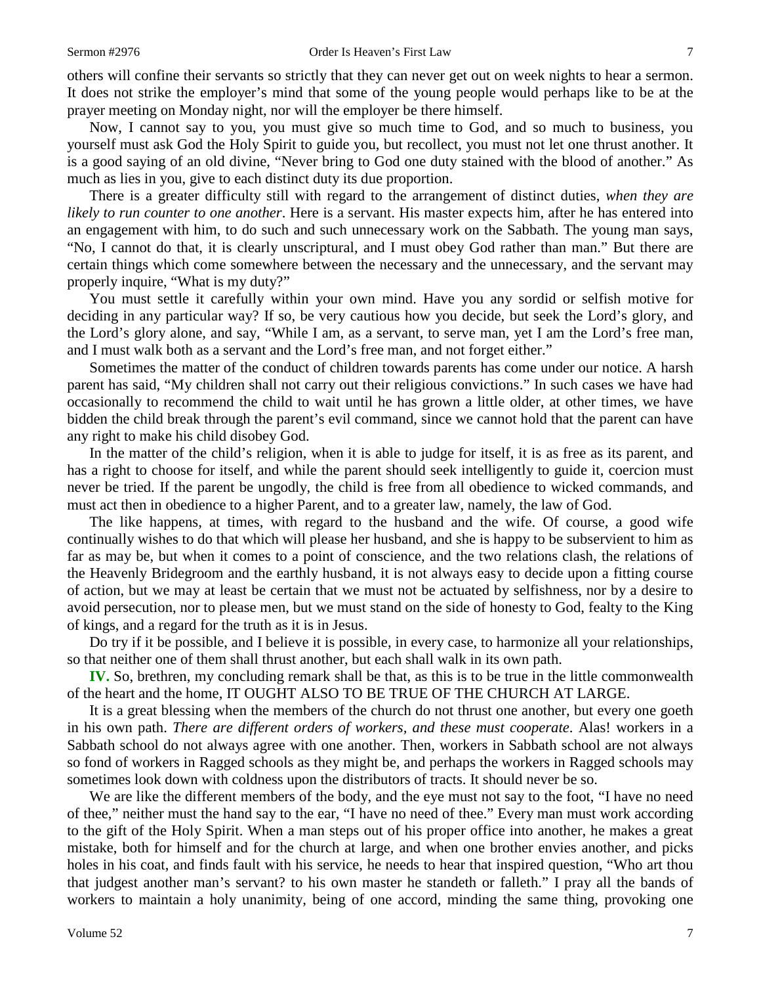others will confine their servants so strictly that they can never get out on week nights to hear a sermon. It does not strike the employer's mind that some of the young people would perhaps like to be at the prayer meeting on Monday night, nor will the employer be there himself.

Now, I cannot say to you, you must give so much time to God, and so much to business, you yourself must ask God the Holy Spirit to guide you, but recollect, you must not let one thrust another. It is a good saying of an old divine, "Never bring to God one duty stained with the blood of another." As much as lies in you, give to each distinct duty its due proportion.

There is a greater difficulty still with regard to the arrangement of distinct duties, *when they are likely to run counter to one another*. Here is a servant. His master expects him, after he has entered into an engagement with him, to do such and such unnecessary work on the Sabbath. The young man says, "No, I cannot do that, it is clearly unscriptural, and I must obey God rather than man." But there are certain things which come somewhere between the necessary and the unnecessary, and the servant may properly inquire, "What is my duty?"

You must settle it carefully within your own mind. Have you any sordid or selfish motive for deciding in any particular way? If so, be very cautious how you decide, but seek the Lord's glory, and the Lord's glory alone, and say, "While I am, as a servant, to serve man, yet I am the Lord's free man, and I must walk both as a servant and the Lord's free man, and not forget either."

Sometimes the matter of the conduct of children towards parents has come under our notice. A harsh parent has said, "My children shall not carry out their religious convictions." In such cases we have had occasionally to recommend the child to wait until he has grown a little older, at other times, we have bidden the child break through the parent's evil command, since we cannot hold that the parent can have any right to make his child disobey God.

In the matter of the child's religion, when it is able to judge for itself, it is as free as its parent, and has a right to choose for itself, and while the parent should seek intelligently to guide it, coercion must never be tried. If the parent be ungodly, the child is free from all obedience to wicked commands, and must act then in obedience to a higher Parent, and to a greater law, namely, the law of God.

The like happens, at times, with regard to the husband and the wife. Of course, a good wife continually wishes to do that which will please her husband, and she is happy to be subservient to him as far as may be, but when it comes to a point of conscience, and the two relations clash, the relations of the Heavenly Bridegroom and the earthly husband, it is not always easy to decide upon a fitting course of action, but we may at least be certain that we must not be actuated by selfishness, nor by a desire to avoid persecution, nor to please men, but we must stand on the side of honesty to God, fealty to the King of kings, and a regard for the truth as it is in Jesus.

Do try if it be possible, and I believe it is possible, in every case, to harmonize all your relationships, so that neither one of them shall thrust another, but each shall walk in its own path.

**IV.** So, brethren, my concluding remark shall be that, as this is to be true in the little commonwealth of the heart and the home, IT OUGHT ALSO TO BE TRUE OF THE CHURCH AT LARGE.

It is a great blessing when the members of the church do not thrust one another, but every one goeth in his own path. *There are different orders of workers, and these must cooperate*. Alas! workers in a Sabbath school do not always agree with one another. Then, workers in Sabbath school are not always so fond of workers in Ragged schools as they might be, and perhaps the workers in Ragged schools may sometimes look down with coldness upon the distributors of tracts. It should never be so.

We are like the different members of the body, and the eye must not say to the foot, "I have no need of thee," neither must the hand say to the ear, "I have no need of thee." Every man must work according to the gift of the Holy Spirit. When a man steps out of his proper office into another, he makes a great mistake, both for himself and for the church at large, and when one brother envies another, and picks holes in his coat, and finds fault with his service, he needs to hear that inspired question, "Who art thou that judgest another man's servant? to his own master he standeth or falleth." I pray all the bands of workers to maintain a holy unanimity, being of one accord, minding the same thing, provoking one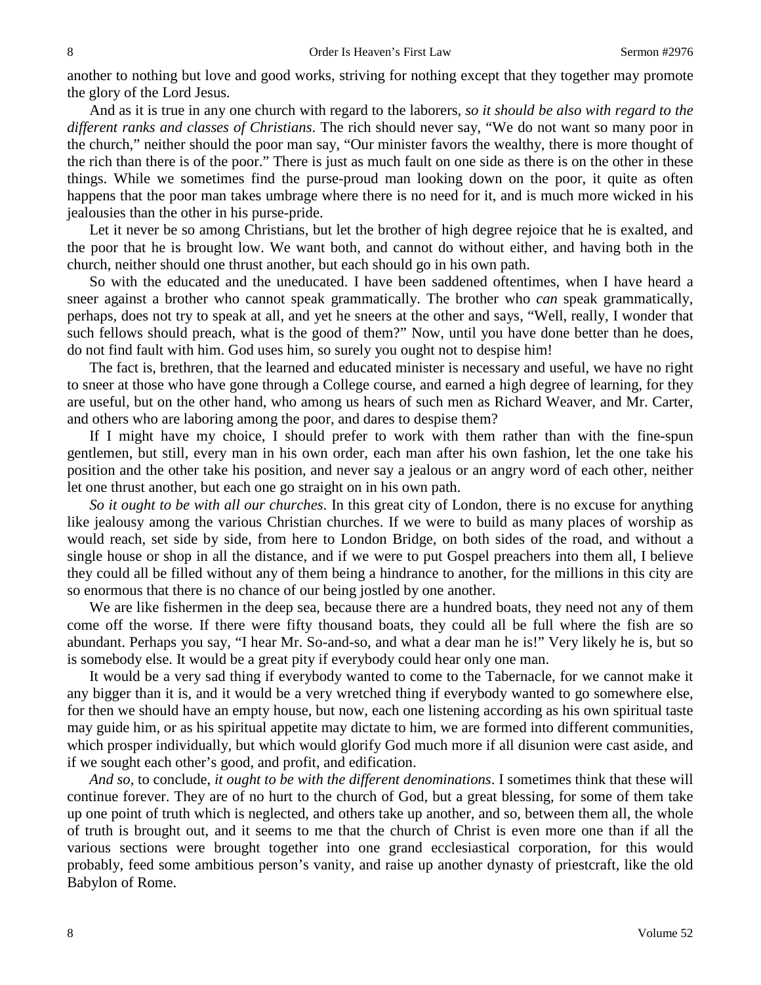another to nothing but love and good works, striving for nothing except that they together may promote the glory of the Lord Jesus.

And as it is true in any one church with regard to the laborers, *so it should be also with regard to the different ranks and classes of Christians*. The rich should never say, "We do not want so many poor in the church," neither should the poor man say, "Our minister favors the wealthy, there is more thought of the rich than there is of the poor." There is just as much fault on one side as there is on the other in these things. While we sometimes find the purse-proud man looking down on the poor, it quite as often happens that the poor man takes umbrage where there is no need for it, and is much more wicked in his jealousies than the other in his purse-pride.

Let it never be so among Christians, but let the brother of high degree rejoice that he is exalted, and the poor that he is brought low. We want both, and cannot do without either, and having both in the church, neither should one thrust another, but each should go in his own path.

So with the educated and the uneducated. I have been saddened oftentimes, when I have heard a sneer against a brother who cannot speak grammatically. The brother who *can* speak grammatically, perhaps, does not try to speak at all, and yet he sneers at the other and says, "Well, really, I wonder that such fellows should preach, what is the good of them?" Now, until you have done better than he does, do not find fault with him. God uses him, so surely you ought not to despise him!

The fact is, brethren, that the learned and educated minister is necessary and useful, we have no right to sneer at those who have gone through a College course, and earned a high degree of learning, for they are useful, but on the other hand, who among us hears of such men as Richard Weaver, and Mr. Carter, and others who are laboring among the poor, and dares to despise them?

If I might have my choice, I should prefer to work with them rather than with the fine-spun gentlemen, but still, every man in his own order, each man after his own fashion, let the one take his position and the other take his position, and never say a jealous or an angry word of each other, neither let one thrust another, but each one go straight on in his own path.

*So it ought to be with all our churches*. In this great city of London, there is no excuse for anything like jealousy among the various Christian churches. If we were to build as many places of worship as would reach, set side by side, from here to London Bridge, on both sides of the road, and without a single house or shop in all the distance, and if we were to put Gospel preachers into them all, I believe they could all be filled without any of them being a hindrance to another, for the millions in this city are so enormous that there is no chance of our being jostled by one another.

We are like fishermen in the deep sea, because there are a hundred boats, they need not any of them come off the worse. If there were fifty thousand boats, they could all be full where the fish are so abundant. Perhaps you say, "I hear Mr. So-and-so, and what a dear man he is!" Very likely he is, but so is somebody else. It would be a great pity if everybody could hear only one man.

It would be a very sad thing if everybody wanted to come to the Tabernacle, for we cannot make it any bigger than it is, and it would be a very wretched thing if everybody wanted to go somewhere else, for then we should have an empty house, but now, each one listening according as his own spiritual taste may guide him, or as his spiritual appetite may dictate to him, we are formed into different communities, which prosper individually, but which would glorify God much more if all disunion were cast aside, and if we sought each other's good, and profit, and edification.

*And so,* to conclude, *it ought to be with the different denominations*. I sometimes think that these will continue forever. They are of no hurt to the church of God, but a great blessing, for some of them take up one point of truth which is neglected, and others take up another, and so, between them all, the whole of truth is brought out, and it seems to me that the church of Christ is even more one than if all the various sections were brought together into one grand ecclesiastical corporation, for this would probably, feed some ambitious person's vanity, and raise up another dynasty of priestcraft, like the old Babylon of Rome.